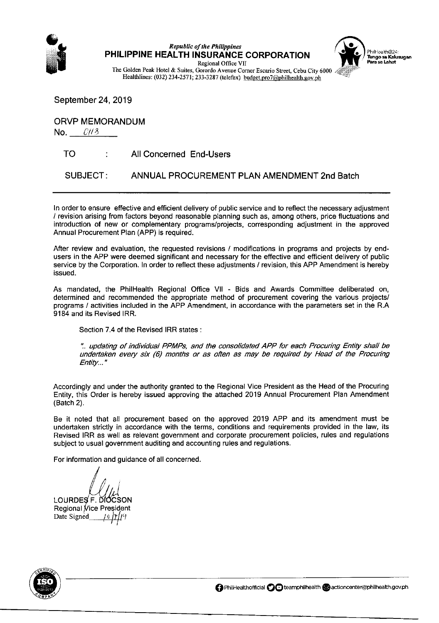

Republic of the Philippines<br>PHILIPPINE HEALTH INSURANCE CORPORATION Tungo sa Kalusugan<br>Regional Office VII



The Golden Peak Hotel & Suites, Gorordo Avenue Corner Escario Street, Cebu City 6000 Healthlines: (032) 234-2571; 233-3287 (telefax) budget.pro7@philhealth.gov.ph

September 24, 2019

ORVP MEMORANDUM

No.  $Cl/3$ 

TO : All Concerned End-Users

SUBJECT: ANNUAL PROCUREMENT PLAN AMENDMENT 2nd Batch

In order to ensure effective and efficient delivery of public service and to reflect the necessary adjustment / revision arising from factors beyond reasonable planning such as, among others, price fluctuations and introduction of new or complementary programs/projects, corresponding adjustment in the approved Annual Procurement Plan (APP) is required.

After review and evaluation, the requested revisions / modifications in programs and projects by endusers in the APP were deemed significant and necessary for the effective and efficient delivery of public service by the Corporation. In order to reflect these adjustments / revision, this APP Amendment is hereby issued.

As mandated, the PhilHealth Regional Office Vll - Bids and Awards Committee deliberated on, determined and recommended the appropriate method of procurement covering the various projects/ programs / activities included in the APP Amendment, in accordance with the parameters set in the R.A 9184 and its Revised lRR.

Section 7.4 of the Revised IRR states :

".. updating of individual PPMPs, and the consolidated APP for each Procuring Entity shall be undertaken every six (6) months or as often as may be required by Head of the Procuring Entity..."

Accordingly and under the authority granted to the Regional Vice President as the Head of the Procuring Entity, this Order is hereby issued approving the attached 2019 Annual Procurement Plan Amendment (Batch 2).

Be it noted that all procurement based on the approved 2019 APP and its amendment must be undertaken strictly in accordance with the terms, conditions and requirements provided in the law, its Revised IRR as well as relevant government and corporate procurement policies, rules and regulations subject to usual government auditing and accounting rules and regulations.

For information and guidance of all concerned.

LOURDES F. DIOCSON Regional Vice President Date Signed eJlll'l



**@** PhilHealthofficial **@@** teamphilhealth @actioncenter@philhealth.gov.ph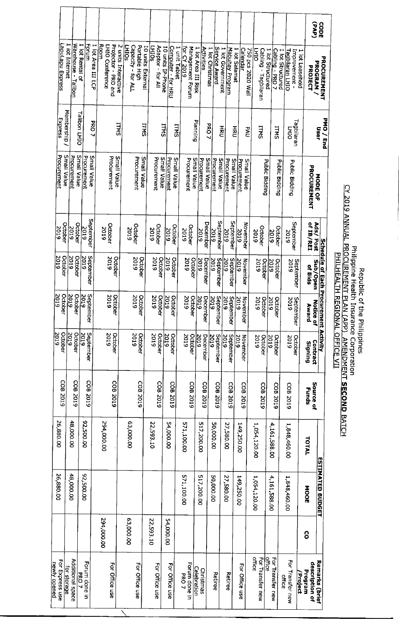|                                 |                                       |                            |                    |                                                       |                     |                                                     |                   |                                   |                   |                                     |                                        |                     |                              |                  |                                   |                     |                            |                                      |                                    |                                     |                                                              |                 | (4yd)                                      | cope                                  |  |
|---------------------------------|---------------------------------------|----------------------------|--------------------|-------------------------------------------------------|---------------------|-----------------------------------------------------|-------------------|-----------------------------------|-------------------|-------------------------------------|----------------------------------------|---------------------|------------------------------|------------------|-----------------------------------|---------------------|----------------------------|--------------------------------------|------------------------------------|-------------------------------------|--------------------------------------------------------------|-----------------|--------------------------------------------|---------------------------------------|--|
| <u>LapuLapu Express</u>         | 1 lot Internet<br>Warehouse - Talibon | 1 lot Rental of<br>Forum   | 1 lot Area III LCP | <b>Room</b><br>Projector - PRO and<br>LHIO Conference | 2 units Interactive | <b>LHIOS</b><br>Portable High<br>Capacity - for ALL | 10 units External | Adaptor - for All<br><b>EHIOS</b> | 10 units IP-Phone | Computer - for HRU<br>1 unit Tablet | <u>for CY 2019</u><br>Management Forum | 1 lot Area III Risk | <b>Activities</b>            | 1 lot Christmas  | Service Award<br>1 lot Government | Mabuhay Program     | 1 lot Salamat              | <b>Calendar</b><br>750 pcs 2020 Wall | <b>HIO</b><br>Cabling - Tagbilaran | Cabling - PRO 7<br>1 lot Structured | Improvement -<br>1 lot Structured<br><u> Tagbilaran LHIO</u> | 1 lot Leasehold | PROGRAM<br>PROJECT                         | <b>PROCUREMENT</b>                    |  |
| Express                         | Membership /                          | Talibon LHIO               | <b>PRO 7</b>       |                                                       | <b>TTMS</b>         |                                                     | <b>ITMS</b>       |                                   | <b>ITMS</b>       | <b>TIMS</b>                         |                                        | Planning            |                              | <b>PRO7</b>      | 공전                                |                     | 골                          | <b>PAU</b>                           | <b>LTMS</b>                        | <b>ITNS</b>                         | FHI                                                          | Tagbilaran      |                                            | PMO/End<br>User                       |  |
| Procurement<br>Small Value      | Procurement                           | Small Value<br>Procurement | Small Value        | Procurement                                           | Small Value         | Procurement<br>Small Value                          |                   | Procurement<br>Small Value        | Procurement       | Small Value                         | Procurement                            | Small Value         | Small Value<br>Procurement   | Procurement      | Small Value                       | Procurement         | Small Value<br>Procurement | Small Value                          | Public Bidding                     |                                     | Public Bidding<br>Public Bidding                             |                 | PROCUREMENT                                | <b>NODEOF</b>                         |  |
| October<br>2019                 | October<br>2019                       | September<br>2019          |                    | October<br>5019                                       |                     | October<br>2019                                     |                   | October<br>2019                   | 2019              | October                             | October<br>2019                        |                     | December<br>2019             | <b>610Z</b>      | September                         | September<br>5019   | 2019                       | November                             | October<br>2019                    | 2019                                | September<br>October<br>2019                                 |                 | of IB/REI<br>Ads/Post                      |                                       |  |
| October<br>2019                 | 2019<br>October                       | <b>610Z</b><br>September   |                    | 2019                                                  | October             | 2019<br>October                                     |                   | 2019<br>October                   | 5019              | October                             | 5019                                   | October             | 2019<br>December             | 2019             | September                         | 2019<br>September   | 2019                       | November                             | 2019<br>October                    | 2019<br>October                     | 2019                                                         | September       | Sub/Open<br>of Bids                        | Schedule of Each Procurement Activity |  |
| $\frac{2019}{2}$<br>October     | <u>2019</u><br>October                | <u>2019</u><br>September   |                    | 2019<br>October                                       |                     | <b>2019</b><br>October                              |                   | 2019<br>October                   | 2019              | October                             | 610Z                                   | October             | $\frac{2019}{2}$<br>December | $\frac{2019}{2}$ | September                         | 2019<br>September   | 2019                       | November                             | 2019<br>October                    | $rac{2019}{2019}$<br>October        | 2019                                                         | September       | 7<br><b>Award</b><br>lotice of             |                                       |  |
| October<br>2019                 | 2019<br>October                       | September<br>2019          |                    | 2019<br>October                                       |                     | 2019<br>October                                     |                   | October<br>2019                   | 2019              | October                             | 2019                                   | October             | December<br>2019             | 2019             | September                         | September<br>2019   | <b>2019</b>                | November                             | 2019<br>October                    | <b>2019</b><br>October              | 2019                                                         | October         | Contract<br>Signing                        |                                       |  |
| COB <sub>2019</sub>             | CDB 2019                              | COB <sub>2019</sub>        |                    | COB 2019                                              |                     | COB <sub>2019</sub>                                 |                   | COB 2019                          |                   | COB 2019                            |                                        | COB <sub>2019</sub> | CDB 2019                     |                  | COB 2019                          | COB <sub>2019</sub> |                            | COB 2019                             | COB <sub>2019</sub>                | COB <sub>2019</sub>                 | COB <sub>2019</sub>                                          |                 | Source of<br><b>Funds</b>                  |                                       |  |
| 26,880.00                       | 48,000.00                             | 92,500.00                  |                    | 294,000.00                                            |                     | 63,000.00                                           |                   | 22,593.10                         | 54,000.00         |                                     | 571,100.00                             |                     | 517,200.00                   | 50,000.00        |                                   | 27,580.00           | 149,250.00                 |                                      | 1,054,120.00                       | 4,161,588.00                        | 1,848,460.00                                                 |                 | TOTAL                                      |                                       |  |
| 26,880.00                       | 48,000.00                             | 92,500.00                  |                    |                                                       |                     |                                                     |                   |                                   |                   |                                     | 571,100.00                             |                     | 517,200.00                   | <b>50,000.00</b> |                                   | 27,580.00           | 149,250.00                 |                                      | 1,054,120.00                       | 4,161,588.00                        | 1,848,460.00                                                 |                 | <b>NOOE</b>                                | <b>ESTIMATED BUDGET</b>               |  |
|                                 |                                       |                            |                    | 294,000.00                                            |                     | 63,000.00                                           | 22,593.10         |                                   | 54,000.00         |                                     |                                        |                     |                              |                  |                                   |                     |                            |                                      |                                    |                                     |                                                              |                 | 8                                          |                                       |  |
| For Express use<br>newly opened | Additional space<br>for storage       | Forum done in<br>PRO7      |                    | For Office use                                        |                     | For Office use                                      |                   | For Office use                    |                   | For Office use                      | Forum done<br><b>PRO7</b><br>⊐         | <b>Celebration</b>  | Christmas                    | Retiree          |                                   | Retiree             |                            | For Office use                       | office<br>For Transfer ne<br>ε     | office<br>For Transfer ne<br>ξ      | For Transfer new<br>office                                   | Project         | description<br>Program<br>$\frac{1}{2}$ of | Remarks (br                           |  |

Republic of the Philippines<br>CY 2019 ANNUAL PROCUREMENT PLAN (APP)\_AMENDMENT **SECOND** BATCH<br>CY 2019 ANNUAL PROCUREMENT PLAN (APP)\_AMENDMENT **SECOND** BATCH